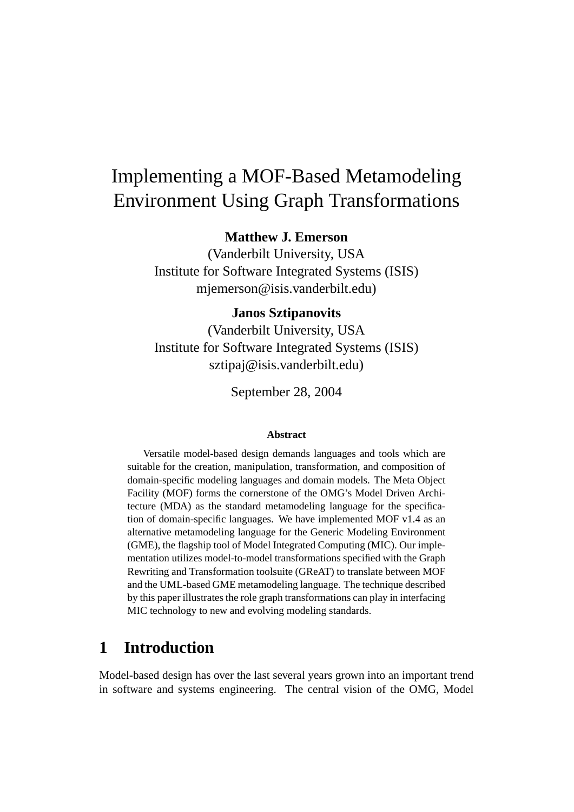# Implementing a MOF-Based Metamodeling Environment Using Graph Transformations

**Matthew J. Emerson**

(Vanderbilt University, USA Institute for Software Integrated Systems (ISIS) mjemerson@isis.vanderbilt.edu)

#### **Janos Sztipanovits**

(Vanderbilt University, USA Institute for Software Integrated Systems (ISIS) sztipaj@isis.vanderbilt.edu)

September 28, 2004

#### **Abstract**

Versatile model-based design demands languages and tools which are suitable for the creation, manipulation, transformation, and composition of domain-specific modeling languages and domain models. The Meta Object Facility (MOF) forms the cornerstone of the OMG's Model Driven Architecture (MDA) as the standard metamodeling language for the specification of domain-specific languages. We have implemented MOF v1.4 as an alternative metamodeling language for the Generic Modeling Environment (GME), the flagship tool of Model Integrated Computing (MIC). Our implementation utilizes model-to-model transformations specified with the Graph Rewriting and Transformation toolsuite (GReAT) to translate between MOF and the UML-based GME metamodeling language. The technique described by this paper illustrates the role graph transformations can play in interfacing MIC technology to new and evolving modeling standards.

## **1 Introduction**

Model-based design has over the last several years grown into an important trend in software and systems engineering. The central vision of the OMG, Model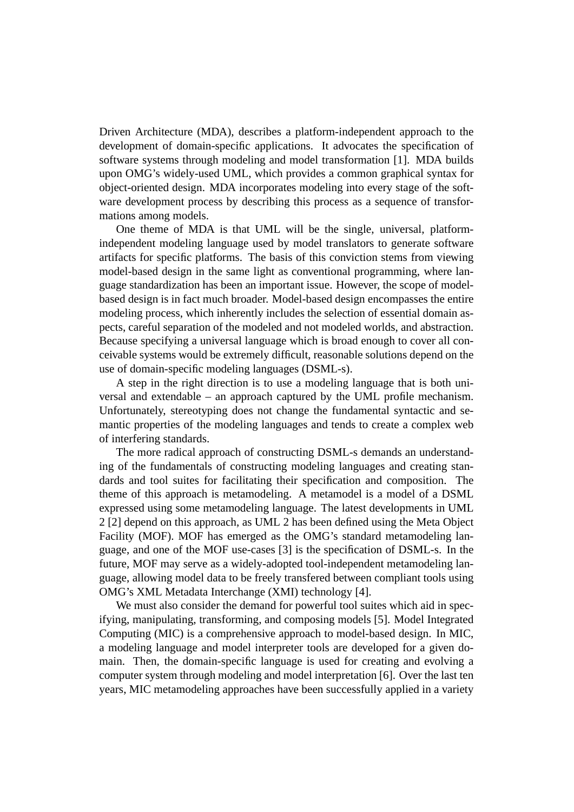Driven Architecture (MDA), describes a platform-independent approach to the development of domain-specific applications. It advocates the specification of software systems through modeling and model transformation [1]. MDA builds upon OMG's widely-used UML, which provides a common graphical syntax for object-oriented design. MDA incorporates modeling into every stage of the software development process by describing this process as a sequence of transformations among models.

One theme of MDA is that UML will be the single, universal, platformindependent modeling language used by model translators to generate software artifacts for specific platforms. The basis of this conviction stems from viewing model-based design in the same light as conventional programming, where language standardization has been an important issue. However, the scope of modelbased design is in fact much broader. Model-based design encompasses the entire modeling process, which inherently includes the selection of essential domain aspects, careful separation of the modeled and not modeled worlds, and abstraction. Because specifying a universal language which is broad enough to cover all conceivable systems would be extremely difficult, reasonable solutions depend on the use of domain-specific modeling languages (DSML-s).

A step in the right direction is to use a modeling language that is both universal and extendable – an approach captured by the UML profile mechanism. Unfortunately, stereotyping does not change the fundamental syntactic and semantic properties of the modeling languages and tends to create a complex web of interfering standards.

The more radical approach of constructing DSML-s demands an understanding of the fundamentals of constructing modeling languages and creating standards and tool suites for facilitating their specification and composition. The theme of this approach is metamodeling. A metamodel is a model of a DSML expressed using some metamodeling language. The latest developments in UML 2 [2] depend on this approach, as UML 2 has been defined using the Meta Object Facility (MOF). MOF has emerged as the OMG's standard metamodeling language, and one of the MOF use-cases [3] is the specification of DSML-s. In the future, MOF may serve as a widely-adopted tool-independent metamodeling language, allowing model data to be freely transfered between compliant tools using OMG's XML Metadata Interchange (XMI) technology [4].

We must also consider the demand for powerful tool suites which aid in specifying, manipulating, transforming, and composing models [5]. Model Integrated Computing (MIC) is a comprehensive approach to model-based design. In MIC, a modeling language and model interpreter tools are developed for a given domain. Then, the domain-specific language is used for creating and evolving a computer system through modeling and model interpretation [6]. Over the last ten years, MIC metamodeling approaches have been successfully applied in a variety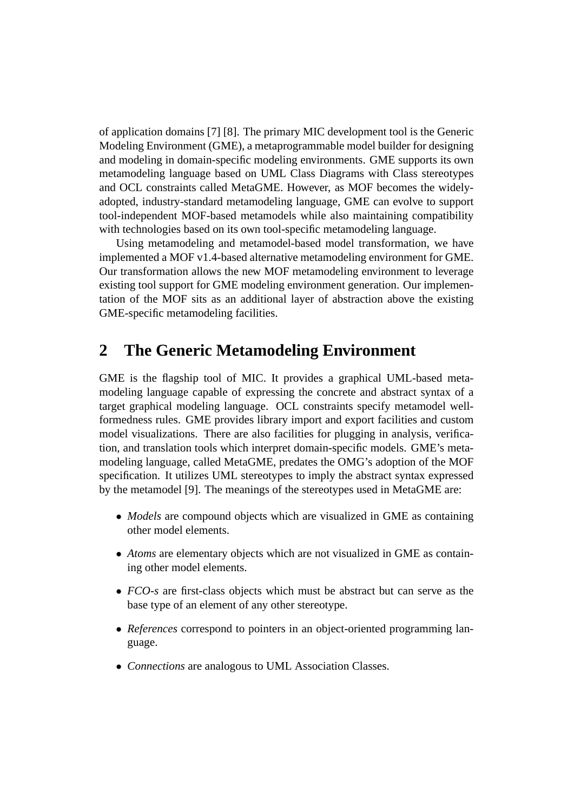of application domains [7] [8]. The primary MIC development tool is the Generic Modeling Environment (GME), a metaprogrammable model builder for designing and modeling in domain-specific modeling environments. GME supports its own metamodeling language based on UML Class Diagrams with Class stereotypes and OCL constraints called MetaGME. However, as MOF becomes the widelyadopted, industry-standard metamodeling language, GME can evolve to support tool-independent MOF-based metamodels while also maintaining compatibility with technologies based on its own tool-specific metamodeling language.

Using metamodeling and metamodel-based model transformation, we have implemented a MOF v1.4-based alternative metamodeling environment for GME. Our transformation allows the new MOF metamodeling environment to leverage existing tool support for GME modeling environment generation. Our implementation of the MOF sits as an additional layer of abstraction above the existing GME-specific metamodeling facilities.

#### **2 The Generic Metamodeling Environment**

GME is the flagship tool of MIC. It provides a graphical UML-based metamodeling language capable of expressing the concrete and abstract syntax of a target graphical modeling language. OCL constraints specify metamodel wellformedness rules. GME provides library import and export facilities and custom model visualizations. There are also facilities for plugging in analysis, verification, and translation tools which interpret domain-specific models. GME's metamodeling language, called MetaGME, predates the OMG's adoption of the MOF specification. It utilizes UML stereotypes to imply the abstract syntax expressed by the metamodel [9]. The meanings of the stereotypes used in MetaGME are:

- *Models* are compound objects which are visualized in GME as containing other model elements.
- *Atoms* are elementary objects which are not visualized in GME as containing other model elements.
- *FCO-s* are first-class objects which must be abstract but can serve as the base type of an element of any other stereotype.
- *References* correspond to pointers in an object-oriented programming language.
- *Connections* are analogous to UML Association Classes.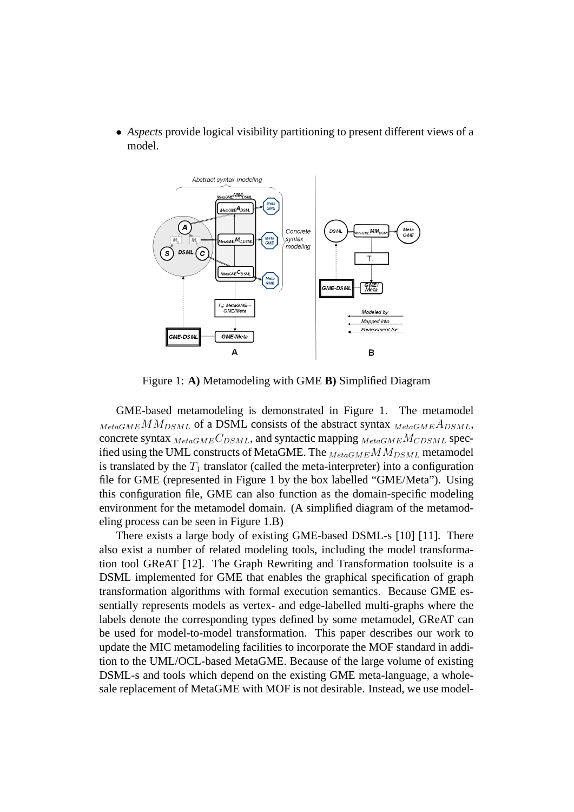• *Aspects* provide logical visibility partitioning to present different views of a model.



Figure 1: **A)** Metamodeling with GME **B)** Simplified Diagram

GME-based metamodeling is demonstrated in Figure 1. The metamodel  $_{MetaGME}MM_{DSML}$  of a DSML consists of the abstract syntax  $_{MetaGME}A_{DSML}$ , concrete syntax  $_{MetaGME}C_{DSML}$ , and syntactic mapping  $_{MetaGME}M_{CDSML}$  specified using the UML constructs of MetaGME. The  $_{MetaGME}$  M $M_{DSML}$  metamodel is translated by the  $T_1$  translator (called the meta-interpreter) into a configuration file for GME (represented in Figure 1 by the box labelled "GME/Meta"). Using this configuration file, GME can also function as the domain-specific modeling environment for the metamodel domain. (A simplified diagram of the metamodeling process can be seen in Figure 1.B)

There exists a large body of existing GME-based DSML-s [10] [11]. There also exist a number of related modeling tools, including the model transformation tool GReAT [12]. The Graph Rewriting and Transformation toolsuite is a DSML implemented for GME that enables the graphical specification of graph transformation algorithms with formal execution semantics. Because GME essentially represents models as vertex- and edge-labelled multi-graphs where the labels denote the corresponding types defined by some metamodel, GReAT can be used for model-to-model transformation. This paper describes our work to update the MIC metamodeling facilities to incorporate the MOF standard in addition to the UML/OCL-based MetaGME. Because of the large volume of existing DSML-s and tools which depend on the existing GME meta-language, a wholesale replacement of MetaGME with MOF is not desirable. Instead, we use model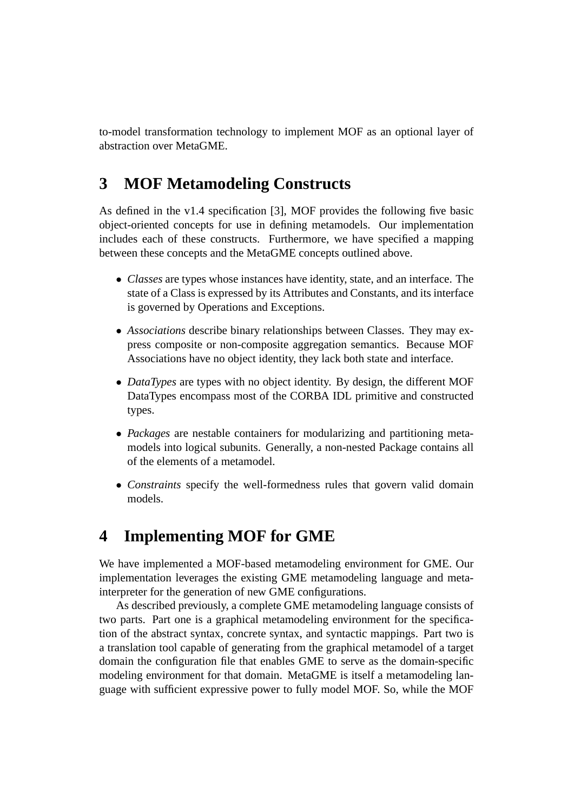to-model transformation technology to implement MOF as an optional layer of abstraction over MetaGME.

## **3 MOF Metamodeling Constructs**

As defined in the v1.4 specification [3], MOF provides the following five basic object-oriented concepts for use in defining metamodels. Our implementation includes each of these constructs. Furthermore, we have specified a mapping between these concepts and the MetaGME concepts outlined above.

- *Classes* are types whose instances have identity, state, and an interface. The state of a Class is expressed by its Attributes and Constants, and its interface is governed by Operations and Exceptions.
- *Associations* describe binary relationships between Classes. They may express composite or non-composite aggregation semantics. Because MOF Associations have no object identity, they lack both state and interface.
- *DataTypes* are types with no object identity. By design, the different MOF DataTypes encompass most of the CORBA IDL primitive and constructed types.
- *Packages* are nestable containers for modularizing and partitioning metamodels into logical subunits. Generally, a non-nested Package contains all of the elements of a metamodel.
- *Constraints* specify the well-formedness rules that govern valid domain models.

## **4 Implementing MOF for GME**

We have implemented a MOF-based metamodeling environment for GME. Our implementation leverages the existing GME metamodeling language and metainterpreter for the generation of new GME configurations.

As described previously, a complete GME metamodeling language consists of two parts. Part one is a graphical metamodeling environment for the specification of the abstract syntax, concrete syntax, and syntactic mappings. Part two is a translation tool capable of generating from the graphical metamodel of a target domain the configuration file that enables GME to serve as the domain-specific modeling environment for that domain. MetaGME is itself a metamodeling language with sufficient expressive power to fully model MOF. So, while the MOF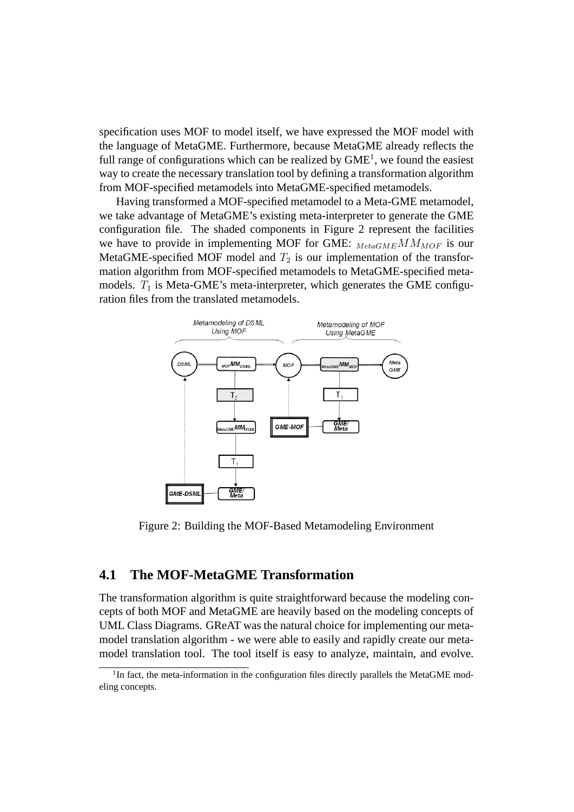specification uses MOF to model itself, we have expressed the MOF model with the language of MetaGME. Furthermore, because MetaGME already reflects the full range of configurations which can be realized by  $GME<sup>1</sup>$ , we found the easiest way to create the necessary translation tool by defining a transformation algorithm from MOF-specified metamodels into MetaGME-specified metamodels.

Having transformed a MOF-specified metamodel to a Meta-GME metamodel, we take advantage of MetaGME's existing meta-interpreter to generate the GME configuration file. The shaded components in Figure 2 represent the facilities we have to provide in implementing MOF for GME:  $_{MetaGME}$  M $M_{MOF}$  is our MetaGME-specified MOF model and  $T_2$  is our implementation of the transformation algorithm from MOF-specified metamodels to MetaGME-specified metamodels.  $T_1$  is Meta-GME's meta-interpreter, which generates the GME configuration files from the translated metamodels.



Figure 2: Building the MOF-Based Metamodeling Environment

#### **4.1 The MOF-MetaGME Transformation**

The transformation algorithm is quite straightforward because the modeling concepts of both MOF and MetaGME are heavily based on the modeling concepts of UML Class Diagrams. GReAT was the natural choice for implementing our metamodel translation algorithm - we were able to easily and rapidly create our metamodel translation tool. The tool itself is easy to analyze, maintain, and evolve.

<sup>&</sup>lt;sup>1</sup>In fact, the meta-information in the configuration files directly parallels the MetaGME modeling concepts.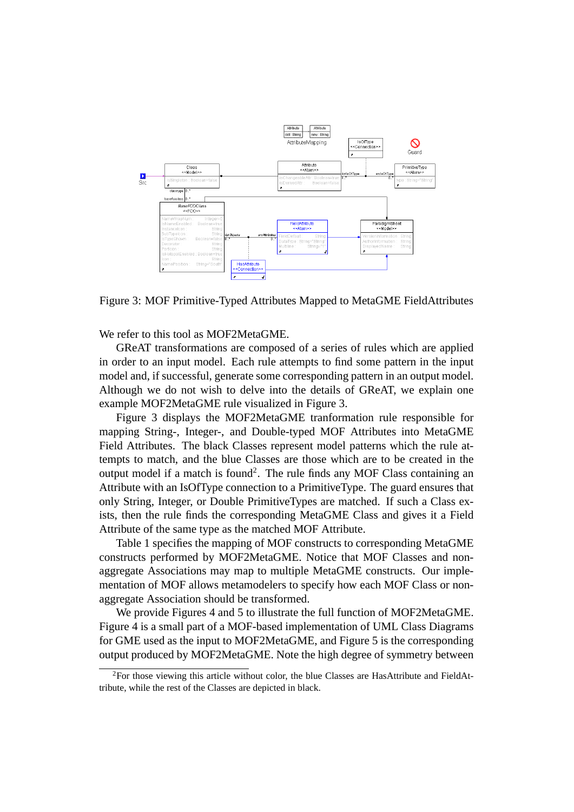

Figure 3: MOF Primitive-Typed Attributes Mapped to MetaGME FieldAttributes

We refer to this tool as MOF2MetaGME.

GReAT transformations are composed of a series of rules which are applied in order to an input model. Each rule attempts to find some pattern in the input model and, if successful, generate some corresponding pattern in an output model. Although we do not wish to delve into the details of GReAT, we explain one example MOF2MetaGME rule visualized in Figure 3.

Figure 3 displays the MOF2MetaGME tranformation rule responsible for mapping String-, Integer-, and Double-typed MOF Attributes into MetaGME Field Attributes. The black Classes represent model patterns which the rule attempts to match, and the blue Classes are those which are to be created in the output model if a match is found<sup>2</sup>. The rule finds any MOF Class containing an Attribute with an IsOfType connection to a PrimitiveType. The guard ensures that only String, Integer, or Double PrimitiveTypes are matched. If such a Class exists, then the rule finds the corresponding MetaGME Class and gives it a Field Attribute of the same type as the matched MOF Attribute.

Table 1 specifies the mapping of MOF constructs to corresponding MetaGME constructs performed by MOF2MetaGME. Notice that MOF Classes and nonaggregate Associations may map to multiple MetaGME constructs. Our implementation of MOF allows metamodelers to specify how each MOF Class or nonaggregate Association should be transformed.

We provide Figures 4 and 5 to illustrate the full function of MOF2MetaGME. Figure 4 is a small part of a MOF-based implementation of UML Class Diagrams for GME used as the input to MOF2MetaGME, and Figure 5 is the corresponding output produced by MOF2MetaGME. Note the high degree of symmetry between

 ${}^{2}$ For those viewing this article without color, the blue Classes are HasAttribute and FieldAttribute, while the rest of the Classes are depicted in black.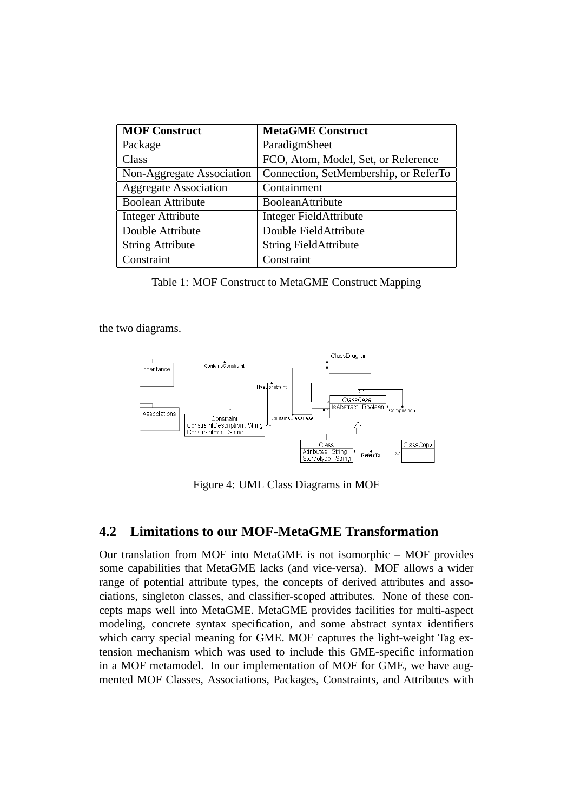| <b>MOF Construct</b>         | <b>MetaGME Construct</b>              |
|------------------------------|---------------------------------------|
| Package                      | ParadigmSheet                         |
| Class                        | FCO, Atom, Model, Set, or Reference   |
| Non-Aggregate Association    | Connection, SetMembership, or ReferTo |
| <b>Aggregate Association</b> | Containment                           |
| <b>Boolean Attribute</b>     | <b>BooleanAttribute</b>               |
| <b>Integer Attribute</b>     | Integer FieldAttribute                |
| Double Attribute             | Double FieldAttribute                 |
| <b>String Attribute</b>      | <b>String FieldAttribute</b>          |
| Constraint                   | Constraint                            |

Table 1: MOF Construct to MetaGME Construct Mapping

the two diagrams.



Figure 4: UML Class Diagrams in MOF

#### **4.2 Limitations to our MOF-MetaGME Transformation**

Our translation from MOF into MetaGME is not isomorphic – MOF provides some capabilities that MetaGME lacks (and vice-versa). MOF allows a wider range of potential attribute types, the concepts of derived attributes and associations, singleton classes, and classifier-scoped attributes. None of these concepts maps well into MetaGME. MetaGME provides facilities for multi-aspect modeling, concrete syntax specification, and some abstract syntax identifiers which carry special meaning for GME. MOF captures the light-weight Tag extension mechanism which was used to include this GME-specific information in a MOF metamodel. In our implementation of MOF for GME, we have augmented MOF Classes, Associations, Packages, Constraints, and Attributes with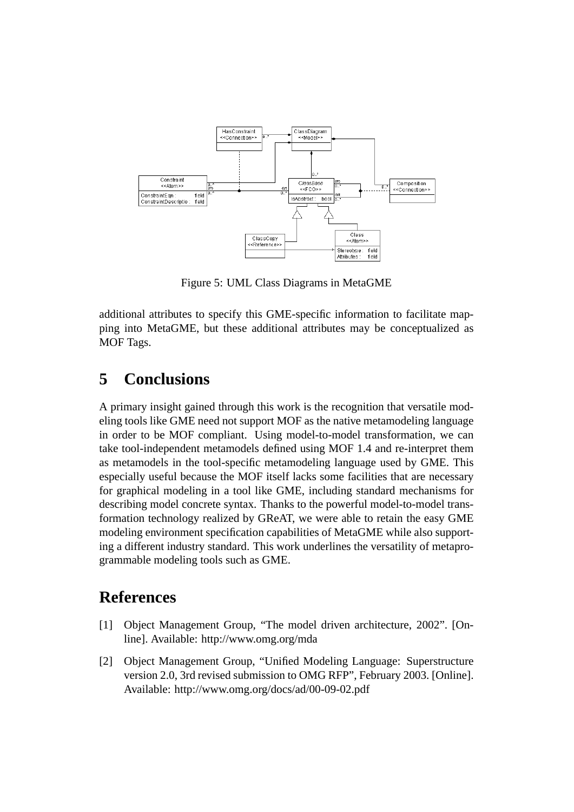

Figure 5: UML Class Diagrams in MetaGME

additional attributes to specify this GME-specific information to facilitate mapping into MetaGME, but these additional attributes may be conceptualized as MOF Tags.

## **5 Conclusions**

A primary insight gained through this work is the recognition that versatile modeling tools like GME need not support MOF as the native metamodeling language in order to be MOF compliant. Using model-to-model transformation, we can take tool-independent metamodels defined using MOF 1.4 and re-interpret them as metamodels in the tool-specific metamodeling language used by GME. This especially useful because the MOF itself lacks some facilities that are necessary for graphical modeling in a tool like GME, including standard mechanisms for describing model concrete syntax. Thanks to the powerful model-to-model transformation technology realized by GReAT, we were able to retain the easy GME modeling environment specification capabilities of MetaGME while also supporting a different industry standard. This work underlines the versatility of metaprogrammable modeling tools such as GME.

## **References**

- [1] Object Management Group, "The model driven architecture, 2002". [Online]. Available: http://www.omg.org/mda
- [2] Object Management Group, "Unified Modeling Language: Superstructure version 2.0, 3rd revised submission to OMG RFP", February 2003. [Online]. Available: http://www.omg.org/docs/ad/00-09-02.pdf